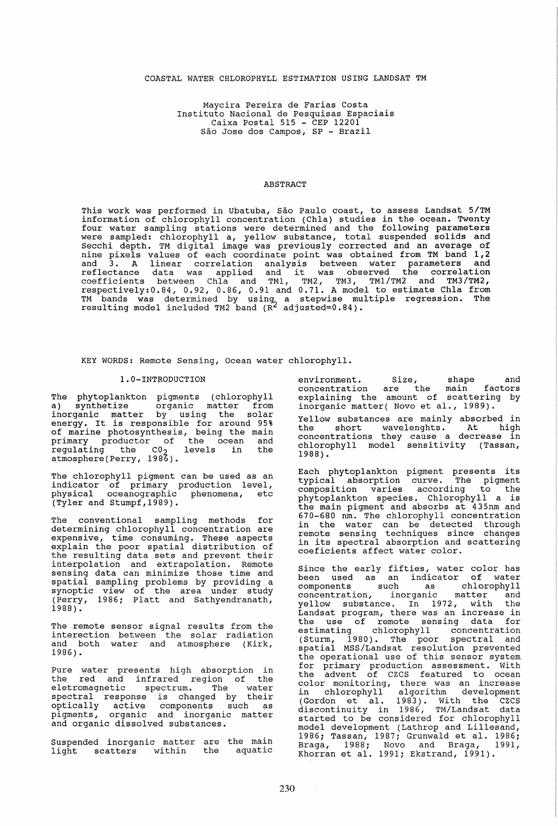### COASTAL WATER CHLOROPHYLL ESTIMATION USING LANDSAT TM

Maycira Pereira de Farias Costa<br>Instituto Nacional de Pesquisas Espaciais Caixa Postal 515 - CEP 12201 Sao Jose dos Campos, SP - Brazil

### ABSTRACT

This work was performed in Ubatuba, São Paulo coast, to assess Landsat 5/TM information of chlorophyll concentration (Chla) studies in the, ocean. Twenty four water sampling stations were determined and the following parameters were sampled: chlorophyll a, yellow substance, total suspended solids and Secchi depth. TM digital image was previously corrected and an average of secchi depin. In digital limage was previously collected and an average of nine pixels values of each coordinate point was obtained from TM band 1,2 and 3. A linear correlation analysis between water parameters and 3. A linear correlation analysis between water parameters and reflectance data was applied and it was observed the correlation coefficients between Chla and TM1, TM2, TM3, TM1/TM2 and TM3/TM2,  $respectively: 0.84, 0.92, 0.86, 0.91$  and  $0.71$ . A model to estimate Chla from TM bands was determined by using a stepwise multiple regression. The resulting model included TM2 band (R<sup>2</sup> adjusted=0.84).

KEY WORDS: Remote Sensing, Ocean water chlorophyll.

#### l.O-INTRODUCTION

The phytoplankton pigments (chlorophyll a) synthetize organic matter from inorganic matter by using the solar energy. It is responsible for around 95% of marine photosynthesis, being the main primary productor of the ocean and regulating the CO<sub>2</sub> levels in the atmosphere (Perry, 1986).

The chlorophyll pigment can be used as an indicator of primary production level, physical oceanographic phenomena, etc  $\sqrt{T}$ ler and Stumpf, 1989).

The conventional sampling methods for determining chlorophyll concentration are expensive, time consuming. These aspects explain the poor spatial distribution of the resulting data sets and prevent their interpolation and extrapolation. Remote sensing data can minimize those time and spatial sampling problems by providing a synoptic view of the area under study (Perry, 1986; Platt and Sathyendranath, 1988).

The remote sensor signal results from the interection between the solar radiation and both water and atmosphere (Kirk, 1986).

Pure water presents high absorption in the red and infrared region of the eletromagnetic spectrum. The water spectral response is changed by their optically active components such as pigments, organic and inorganic matter and organic dissolved substances.

Suspended inorganic matter are the main suspended inorganic masser are end mannienvironment. Size, shape and concentration are the maln factors explaining the amount of scattering by inorganic matter( Novo et al., 1989).

Yellow substances are mainly absorbed in the short wavelenghts. At high concentrations they cause a decrease in chlorophyll model sensitivity (Tassan, 1988).

Each phytoplankton pigment presents its typical absorption curve. The pigment composition varies according to the phytoplankton species. Chlorophyll a is the main pigment and absorbs at 435nm and 670-680 nm. The chlorophyll concentratlon in the water can be detected through remote sensing techniques since changes in its spectral absorption and scattering coeficients affect water color.

Since the early fifties, water color has been used as an indicator of water components such as chlorophyll concentration, inorganic matter and yellow substance. In 1972, with the Landsat program, there was an lncrease ln the use of remote sensing data for estimating chlorophyll concentration (Sturm, 1980). The poor spectral and spatial MSS/Landsat resolution prevented the operational use of this sensor system for primary production assessment. With<br>the advent of CZCS featured to ocean the advent of CZCS featured to ocean color monitoring, there was an increase in chlorophyll algorithm development In enfort physical diverse and the CZCS<br>(Gordon et al. 1983). With the CZCS discontinuity in 1986, TM/Landsat data started to be considered for chlorophyll model development (Lathrop and Lillesand, 1986; Tassan, 1987; Grunwald et al. 1986; Braga, 1988; Novo and Braga, 1991,<br>Khorran et al. 1991; Ekstrand, 1991).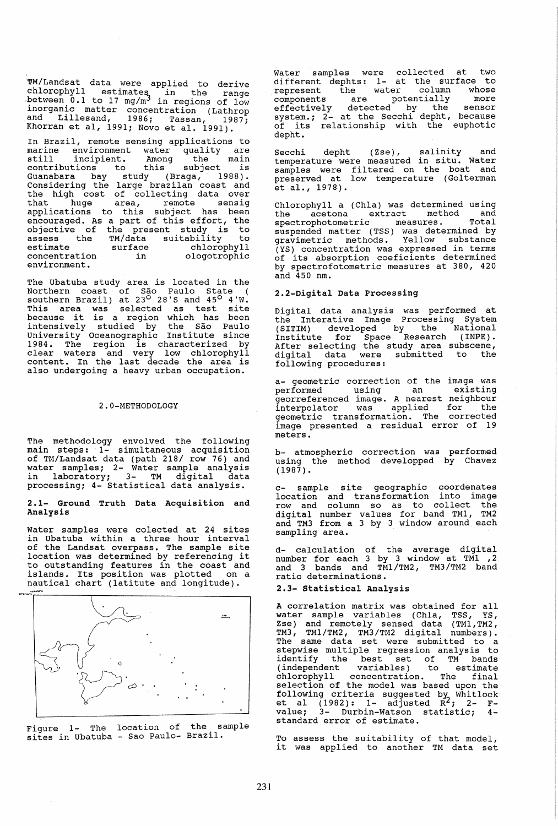~M/Landsat data were applied to derive chlorophyll estimates in the range between  $0.1$  to  $17 \text{ mg/m}^3$  in regions of low inorganic matter concentration (Lathrop and Lillesand, 1986; Tassan, 1987; Khorran et al, 1991; Novo et al. 1991).

In Brazil, remote sensing applications to marine environment water quality are<br>still incipient. Among the main<br>contributions to this subject is<br>Guanabara have the free subject contributions to this subject is Guanabara bay study (Braga, 1988). Considering the large brazilan coast and the high cost of collecting data over that huge area, remote sensig applications to this subject has been encouraged. As a part of this effort, the objective of the present study is to assess the TM/data suitability to estimate surface chlorophyll estimate surface chlorophyll<br>concentration in ologotrophic environment.

The Ubatuba study area is located in the Northern coast of Sao Paulo State ( southern Brazil) at  $23^\circ$   $28^\circ$ S and  $45^\circ$   $4^\circ$ W. This area was selected as test site because it is a region which has been intensively studied by the Sao Paulo University Oceanographic Institute since eniversity coomicy-uphile instructed by 1984. The region is characterized by clear waters and very low chlorophyll content. In the last decade the area is also undergoing a heavy urban occupation.

#### 2.0-METHODOLOGY

The methodology envolved the following main steps: 1- simultaneous acquisition of TM/Landsat data (path 218/ row 76) and water samples; 2- Water sample analysis in laboratory; 3- TM digital data processing; 4- Statistical data analysis.

2.1- Ground Truth Data Acquisition and Analysis

Water samples were colected at 24 sites in Ubatuba within a three hour interval of the Landsat overpass. The sample site location was determined by referencing it to outstanding features in the coast and islands. Its position was plotted on a nautical chart (latitute and longitude).



Figure 1- The location of the sample sites in Ubatuba - Sao Paulo- Brazil.

Water samples were collected at two different dephts: 1- at the surface to represent the water column whose components are potentially more<br>effectively detected by the sensor<br>system.; 2- at the Secchi depht, because of its relationship with the euphotic depht.

Secchi depht (Zse), salinity and temperature were measured in situ. Water samples were filtered on the boat and preserved at low temperature (Golterman et al., 1978).

Chlorophyll a (Chla) was determined using the acetona extract method and spectrophotometric measures. Total suspended matter (TSS) was determined by gravimetric methods. Yellow substance (YS) concentration was expressed in terms of its absorption coeficients determined by spectrofotometric measures at 380, 420 and 450 nm.

### 2.2-Digita1 Data Processing

Digital data analysis was performed at the Interative Image processing System (SITIM) developed by the National Institute for Space Research (INPE) • After selecting the study area subscene, digital data were submitted to the following procedures:

a- geometric correction of the image was performed using an existing georreferenced image. A nearest neighbour interpolator was applied for the geometric transformation. The corrected image presented a residual error of 19 meters.

b- atmospheric correction was performed using the method developped by Chavez  $(1987)$ .

c- sample site geographic coordenates location and transformation into image row and column so as to collect the digital number values for band TM1, TM2 and TM3 from a 3 by 3 window around each sampling area.

d- calculation of the average digital number for each 3 by 3 window at TM1 .2 and 3 bands and TM1/TM2, TM3/TM2 band ratio determinations.

## 2.3- statistical Analysis

A correlation matrix was obtained for all water sample variables (Chla, TSS, YS, Zse) and remotely sensed data (TM1,TM2, TM3, TM1 /TM2 , TM3/TM2 digital numbers). The same data set were submitted to a stepwise multiple regression analysis to identify the best set of TM bands (independent variables) to estimate chlorophyll concentration. The final selection of the model was based upon the following criteria suggested by, Whitlock et al  $(1982)$ : 1- adjusted  $R^2$ ; 2- Fvalue; 3- Durbin-Watson statistic; 4standard error of estimate.

To assess the suitability of that model, it was applied to another TM data set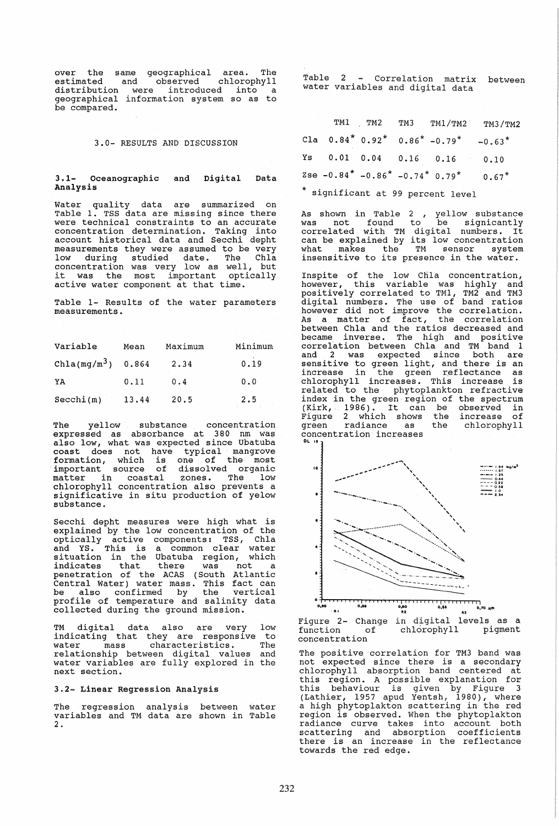over the same geographical area. The estimated and observed chlorophyll distribution were introduced into a geographical information system so as to be compared.

### 3.0- RESULTS AND DISCUSSION

3.1- Oceanographic Analysis Digital Data

Water quality data are summarized on Table 1. TSS data are missing since there were technical constraints to an accurate concentration determination. Taking into account historical data and Secchi depht measurements they were assumed to be very low during studied date. The Chla concentration was very low as well, but<br>it was the most important optically active water component at that time.

Table 1- Results of the water parameters measurements.

| Variable       | Mean  | Maximum | Minimum |
|----------------|-------|---------|---------|
| $Chla(mg/m^3)$ | 0.864 | 2.34    | 0.19    |
| YA             | 0.11  | 0.4     | 0.0     |
| Secchi(m)      | 13.44 | 20.5    | 2.5     |

The yellow substance concentration expressed as absorbance at 380 nm was also low, what was expected since Ubatuba coast does not have typical mangrove formation, which is one of the most important source of dissolved organic matter in coastal zones. The low matter in coastal zones. The low<br>chlorophyll concentration also prevents a<br>significative in situ production of yelow substance.

Secchi depht measures were high what is explained by the low concentration of the optically active components: TSS, Chla<br>and YS. This is a common clear water situation in the Ubatuba region, which indicates that there was not a penetration of the ACAS (South Atlantic Central Water) water mass. This fact can be also confirmed by the vertical profile of temperature and salinity data collected during the ground mission.

TM digital data also are very low indicating that they are responsive to Individuing ends energy and isoperative so relationship between digital values and water variables are fully explored in the next section.

### 3.2- Linear Regression Analysis

The regression analysis between water variables and TM data are shown in Table 2.

Table 2 Correlation matrix between water variables and digital data

|  |  |                                                                                                          | TM1 TM2 TM3 TM1/TM2 TM3/TM2 |
|--|--|----------------------------------------------------------------------------------------------------------|-----------------------------|
|  |  | Cla $0.84^*$ $0.92^*$ $0.86^*$ $-0.79^*$ $-0.63^*$                                                       |                             |
|  |  | Ys 0.01 0.04 0.16 0.16 0.10                                                                              |                             |
|  |  | Zse $-0.84$ <sup>*</sup> $-0.86$ <sup>*</sup> $-0.74$ <sup>*</sup> $0.79$ <sup>*</sup> 0.67 <sup>*</sup> |                             |
|  |  |                                                                                                          |                             |

significant at 99 percent level

As shown in Table 2 yellow substance was not found to be signicantly was not found to be signicantly<br>correlated with TM digital numbers. It<br>can be explained by its low concentration what makes the TM sensor system insensitive to its presence in the water.

Inspite of the low Chla concentration, however, this variable was highly and positively correlated to TM1, TM2 and TM3 digital numbers. The use of band ratios however did not improve the correlation. As a matter of fact, the correlation between Chla and the ratios decreased and became inverse. The high and positive corretation between Chla and TM band 1 and 2 was expected since both are sensitive to green light, and there is an increase in the green reflectance as chlorophyll increases. This increase is related to the phytoplankton refractive<br>index in the green region of the spectrum (Kirk, 1986). It can be observed in Figure 2 which shows the increase of green radiance as the chlorophyll concentration increases



Figure 2- Change in digital levels as a function of chlorophyll pigment concentration

The positive correlation for TM3 band was<br>not expected since there is a secondary chlorophyll absorption band centered at enforceing the concerned this region. A possible explanation for this behaviour is given by Figure 3 (Lathier, 1957 apud Yentsh, 1980), where a high phytoplakton scattering in the red a high phytopiakton scattering in the red<br>region is observed. When the phytoplakton radiance curve takes into account both scattering and absorption coefficients there is an increase in the reflectance towards the red edge.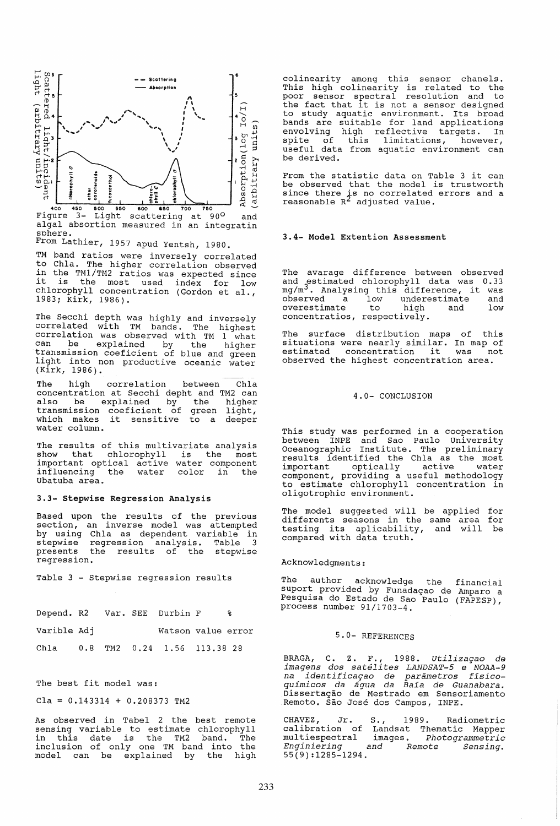

Light scattering at 90° and Fiqure  $3$ algal absortion measured in an integratin sphere.

From Lathier, 1957 apud Yentsh, 1980.

TM band ratios were inversely correlated<br>to Chla. The higher correlation observed in the TM1/TM2 ratios was expected since<br>it is the most used index for low chlorophyll concentration (Gordon et al., 1983; Kirk, 1986).

The Secchi depth was highly and inversely<br>correlated with TM bands. The highest<br>correlation was observed with TM 1 what contenation was observed with in the solution of the higher<br>transmission coeficient of blue and green light into non productive oceanic water  $(Kirk, 1986)$ .

correlation between Chla The hiah concentration at Secchi depht and TM2 can subsequently and the contraction of the higher transmission coeficient of green light, which makes it sensitive to a deeper water column.

The results of this multivariate analysis show that chlorophyll is the most important optical active water component influencing the water color in the<br>Ubatuba area.

### 3.3- Stepwise Regression Analysis

Based upon the results of the previous section, an inverse model was attempted by using Chla as dependent variable in<br>eterwise regression analysis. Table 3 regression analysis. Table stepwise  $\overline{\mathbf{3}}$ the results of the stepwise presents regression.

Table 3 - Stepwise regression results

| Depend. R2 Var. SEE Durbin F     |  |                    | ዱ |
|----------------------------------|--|--------------------|---|
| Varible Adj                      |  | Watson value error |   |
| Chla 0.8 TM2 0.24 1.56 113.38 28 |  |                    |   |

The best fit model was:

 $Cla = 0.143314 + 0.208373$  TM2

As observed in Tabel 2 the best remote sensing variable to estimate chlorophyll<br>in this date is the TM2 band. The<br>inclusion of only one TM band into the model can be explained by the high

colinearity among this sensor chanels.<br>This high colinearity is related to the<br>poor sensor spectral resolution and to<br>the fact that it is not a sensor designed to study aquatic environment. Its broad bo study aquatic environment. Its broad<br>bands are suitable for land applications<br>envolving high reflective targets. In<br>spite of this limitations, however,<br>useful data from aquatic environment can be derived.

From the statistic data on Table 3 it can be observed that the model is trustworth since there is no correlated errors and a<br>reasonable  $R^2$  adjusted value.

#### 3.4- Model Extention Assessment

The avarage difference between observed and estimated chlorophyll data was 0.33 mg/m<sup>3</sup>. Analysing this difference, it was low  $observed$  a underestimate and overestimate to high and low concentratios, respectively.

The surface distribution maps of this situations were nearly similar. In map of<br>estimated concentration it was not observed the highest concentration area.

### 4.0- CONCLUSION

This study was performed in a cooperation<br>between INPE and Sao Paulo University<br>Oceanographic Institute. The preliminary really applied the Chia as the most<br>important optically active water<br>component, providing a useful methodology to estimate chlorophyll concentration in<br>oligotrophic environment.

The model suggested will be applied for differents seasons in the same area for testing its aplicability, and will be<br>compared with data truth.

# Acknowledgments:

acknowledge the financial The author suport provided by Funadação de Amparo a<br>Pesquisa do Estado de São Paulo (FAPESP), process number 91/1703-4.

### 5.0- REFERENCES

BRAGA, C. Z. F., 1988. Utilização de<br>imagens dos satélites LANDSAT-5 e NOAA-9<br>na identificação de parâmetros físico-<br>químicos da água da Baía de Guanabara. Dissertação de Mestrado em Sensoriamento<br>Remoto. São José dos Campos, INPE.

CHAVEZ, Jr. S., 1989. Radiometric<br>calibration of Landsat Thematic Mapper<br>multiespectral images. Photogrammetric<br>Engineering Enginiering and Remote *Sensinq.*  $55(9):1285-1294.$